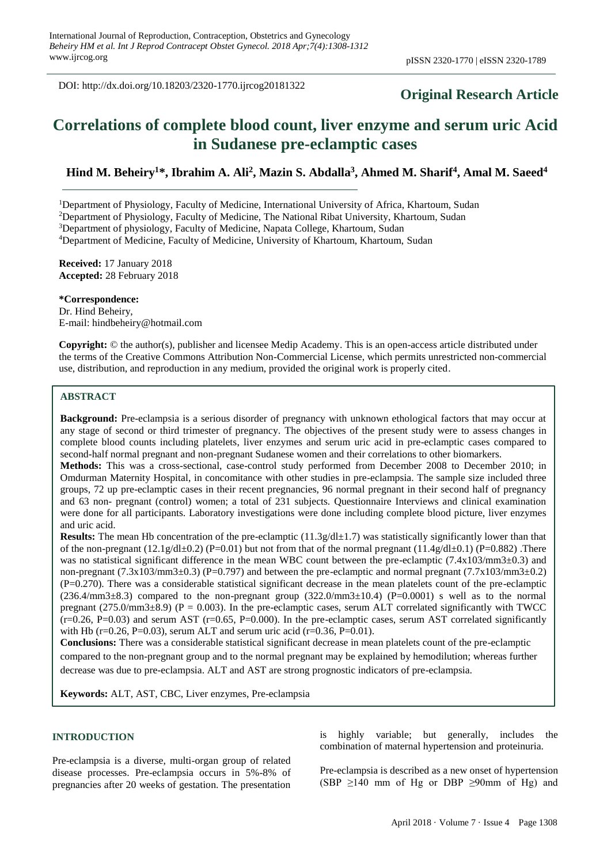DOI: http://dx.doi.org/10.18203/2320-1770.ijrcog20181322

# **Original Research Article**

# **Correlations of complete blood count, liver enzyme and serum uric Acid in Sudanese pre-eclamptic cases**

# **Hind M. Beheiry<sup>1</sup>\*, Ibrahim A. Ali<sup>2</sup> , Mazin S. Abdalla<sup>3</sup> , Ahmed M. Sharif<sup>4</sup> , Amal M. Saeed<sup>4</sup>**

<sup>1</sup>Department of Physiology, Faculty of Medicine, International University of Africa, Khartoum, Sudan

<sup>2</sup>Department of Physiology, Faculty of Medicine, The National Ribat University, Khartoum, Sudan

<sup>3</sup>Department of physiology, Faculty of Medicine, Napata College, Khartoum, Sudan

<sup>4</sup>Department of Medicine, Faculty of Medicine, University of Khartoum, Khartoum, Sudan

**Received:** 17 January 2018 **Accepted:** 28 February 2018

**\*Correspondence:** Dr. Hind Beheiry, E-mail: hindbeheiry@hotmail.com

**Copyright:** © the author(s), publisher and licensee Medip Academy. This is an open-access article distributed under the terms of the Creative Commons Attribution Non-Commercial License, which permits unrestricted non-commercial use, distribution, and reproduction in any medium, provided the original work is properly cited.

## **ABSTRACT**

**Background:** Pre-eclampsia is a serious disorder of pregnancy with unknown ethological factors that may occur at any stage of second or third trimester of pregnancy. The objectives of the present study were to assess changes in complete blood counts including platelets, liver enzymes and serum uric acid in pre-eclamptic cases compared to second-half normal pregnant and non-pregnant Sudanese women and their correlations to other biomarkers.

**Methods:** This was a cross-sectional, case-control study performed from December 2008 to December 2010; in Omdurman Maternity Hospital, in concomitance with other studies in pre-eclampsia. The sample size included three groups, 72 up pre-eclamptic cases in their recent pregnancies, 96 normal pregnant in their second half of pregnancy and 63 non- pregnant (control) women; a total of 231 subjects. Questionnaire Interviews and clinical examination were done for all participants. Laboratory investigations were done including complete blood picture, liver enzymes and uric acid.

**Results:** The mean Hb concentration of the pre-eclamptic (11.3g/dl±1.7) was statistically significantly lower than that of the non-pregnant (12.1g/dl±0.2) (P=0.01) but not from that of the normal pregnant (11.4g/dl±0.1) (P=0.882) .There was no statistical significant difference in the mean WBC count between the pre-eclamptic (7.4x103/mm3±0.3) and non-pregnant (7.3x103/mm3±0.3) (P=0.797) and between the pre-eclamptic and normal pregnant (7.7x103/mm3±0.2) (P=0.270). There was a considerable statistical significant decrease in the mean platelets count of the pre-eclamptic  $(236.4/\text{mm}3\pm8.3)$  compared to the non-pregnant group  $(322.0/\text{mm}3\pm10.4)$   $(P=0.0001)$  s well as to the normal pregnant (275.0/mm3 $\pm$ 8.9) (P = 0.003). In the pre-eclamptic cases, serum ALT correlated significantly with TWCC  $(r=0.26, P=0.03)$  and serum AST  $(r=0.65, P=0.000)$ . In the pre-eclamptic cases, serum AST correlated significantly with Hb (r=0.26, P=0.03), serum ALT and serum uric acid (r=0.36, P=0.01).

**Conclusions:** There was a considerable statistical significant decrease in mean platelets count of the pre-eclamptic compared to the non-pregnant group and to the normal pregnant may be explained by hemodilution; whereas further decrease was due to pre-eclampsia. ALT and AST are strong prognostic indicators of pre-eclampsia.

**Keywords:** ALT, AST, CBC, Liver enzymes, Pre-eclampsia

## **INTRODUCTION**

Pre-eclampsia is a diverse, multi-organ group of related disease processes. Pre-eclampsia occurs in 5%-8% of pregnancies after 20 weeks of gestation. The presentation is highly variable; but generally, includes the combination of maternal hypertension and proteinuria.

Pre-eclampsia is described as a new onset of hypertension (SBP  $\geq$ 140 mm of Hg or DBP  $\geq$ 90mm of Hg) and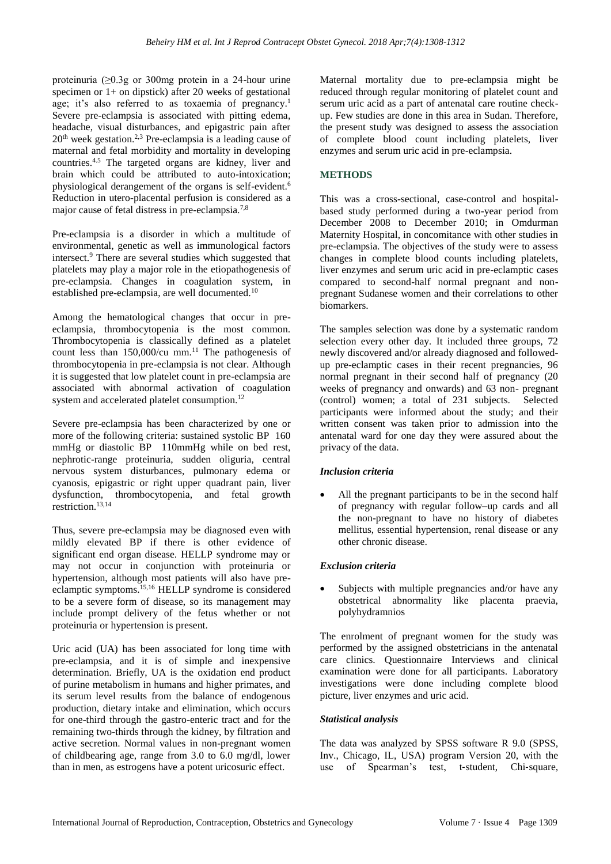proteinuria ( $\geq 0.3$ g or 300mg protein in a 24-hour urine specimen or 1+ on dipstick) after 20 weeks of gestational age; it's also referred to as toxaemia of pregnancy.<sup>1</sup> Severe pre-eclampsia is associated with pitting edema, headache, visual disturbances, and epigastric pain after 20th week gestation.2,3 Pre-eclampsia is a leading cause of maternal and fetal morbidity and mortality in developing countries.4.5 The targeted organs are kidney, liver and brain which could be attributed to auto-intoxication; physiological derangement of the organs is self-evident.<sup>6</sup> Reduction in utero-placental perfusion is considered as a major cause of fetal distress in pre-eclampsia.<sup>7,8</sup>

Pre-eclampsia is a disorder in which a multitude of environmental, genetic as well as immunological factors intersect.<sup>9</sup> There are several studies which suggested that platelets may play a major role in the etiopathogenesis of pre-eclampsia. Changes in coagulation system, in established pre-eclampsia, are well documented.<sup>10</sup>

Among the hematological changes that occur in preeclampsia, thrombocytopenia is the most common. Thrombocytopenia is classically defined as a platelet count less than 150,000/cu mm. <sup>11</sup> The pathogenesis of thrombocytopenia in pre-eclampsia is not clear. Although it is suggested that low platelet count in pre-eclampsia are associated with abnormal activation of coagulation system and accelerated platelet consumption.<sup>12</sup>

Severe pre-eclampsia has been characterized by one or more of the following criteria: sustained systolic BP 160 mmHg or diastolic BP 110mmHg while on bed rest, nephrotic-range proteinuria, sudden oliguria, central nervous system disturbances, pulmonary edema or cyanosis, epigastric or right upper quadrant pain, liver dysfunction, thrombocytopenia, and fetal growth restriction.<sup>13,14</sup>

Thus, severe pre-eclampsia may be diagnosed even with mildly elevated BP if there is other evidence of significant end organ disease. HELLP syndrome may or may not occur in conjunction with proteinuria or hypertension, although most patients will also have preeclamptic symptoms.15,16 HELLP syndrome is considered to be a severe form of disease, so its management may include prompt delivery of the fetus whether or not proteinuria or hypertension is present.

Uric acid (UA) has been associated for long time with pre-eclampsia, and it is of simple and inexpensive determination. Briefly, UA is the oxidation end product of purine metabolism in humans and higher primates, and its serum level results from the balance of endogenous production, dietary intake and elimination, which occurs for one-third through the gastro-enteric tract and for the remaining two-thirds through the kidney, by filtration and active secretion. Normal values in non-pregnant women of childbearing age, range from 3.0 to 6.0 mg/dl, lower than in men, as estrogens have a potent uricosuric effect.

Maternal mortality due to pre-eclampsia might be reduced through regular monitoring of platelet count and serum uric acid as a part of antenatal care routine checkup. Few studies are done in this area in Sudan. Therefore, the present study was designed to assess the association of complete blood count including platelets, liver enzymes and serum uric acid in pre-eclampsia.

## **METHODS**

This was a cross-sectional, case-control and hospitalbased study performed during a two-year period from December 2008 to December 2010; in Omdurman Maternity Hospital, in concomitance with other studies in pre-eclampsia. The objectives of the study were to assess changes in complete blood counts including platelets, liver enzymes and serum uric acid in pre-eclamptic cases compared to second-half normal pregnant and nonpregnant Sudanese women and their correlations to other biomarkers.

The samples selection was done by a systematic random selection every other day. It included three groups, 72 newly discovered and/or already diagnosed and followedup pre-eclamptic cases in their recent pregnancies, 96 normal pregnant in their second half of pregnancy (20 weeks of pregnancy and onwards) and 63 non- pregnant (control) women; a total of 231 subjects. Selected participants were informed about the study; and their written consent was taken prior to admission into the antenatal ward for one day they were assured about the privacy of the data.

## *Inclusion criteria*

All the pregnant participants to be in the second half of pregnancy with regular follow–up cards and all the non-pregnant to have no history of diabetes mellitus, essential hypertension, renal disease or any other chronic disease.

#### *Exclusion criteria*

Subjects with multiple pregnancies and/or have any obstetrical abnormality like placenta praevia, polyhydramnios

The enrolment of pregnant women for the study was performed by the assigned obstetricians in the antenatal care clinics. Questionnaire Interviews and clinical examination were done for all participants. Laboratory investigations were done including complete blood picture, liver enzymes and uric acid.

#### *Statistical analysis*

The data was analyzed by SPSS software R 9.0 (SPSS, Inv., Chicago, IL, USA) program Version 20, with the use of Spearman's test, t-student, Chi-square,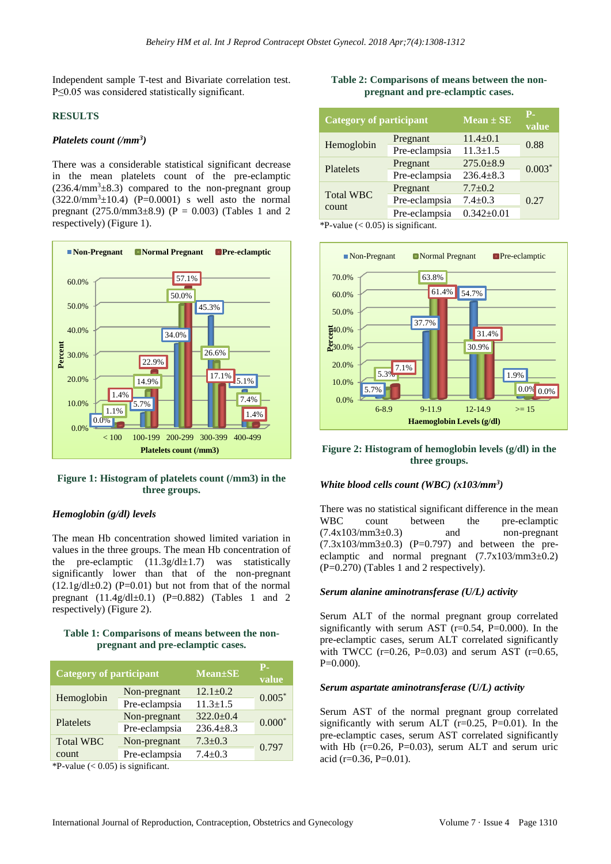Independent sample T-test and Bivariate correlation test. P≤0.05 was considered statistically significant.

## **RESULTS**

## *Platelets count (/mm<sup>3</sup> )*

There was a considerable statistical significant decrease in the mean platelets count of the pre-eclamptic  $(236.4/\text{mm}^3\pm8.3)$  compared to the non-pregnant group  $(322.0/\text{mm}^3 \pm 10.4)$  (P=0.0001) s well asto the normal pregnant (275.0/mm3 $\pm$ 8.9) (P = 0.003) (Tables 1 and 2 respectively) (Figure 1).



## **Figure 1: Histogram of platelets count (/mm3) in the three groups.**

#### *Hemoglobin (g/dl) levels*

The mean Hb concentration showed limited variation in values in the three groups. The mean Hb concentration of the pre-eclamptic  $(11.3g/dl \pm 1.7)$  was statistically significantly lower than that of the non-pregnant  $(12.1g/dl\pm0.2)$  (P=0.01) but not from that of the normal pregnant  $(11.4g/dl\pm0.1)$  (P=0.882) (Tables 1 and 2 respectively) (Figure 2).

## **Table 1: Comparisons of means between the nonpregnant and pre-eclamptic cases.**

| <b>Category of participant</b> |               | <b>Mean</b> ±SE | <b>P.</b><br>value |  |  |
|--------------------------------|---------------|-----------------|--------------------|--|--|
|                                | Non-pregnant  | $12.1 \pm 0.2$  | $0.005*$           |  |  |
| Hemoglobin                     | Pre-eclampsia | $11.3 \pm 1.5$  |                    |  |  |
| Platelets                      | Non-pregnant  | $322.0 \pm 0.4$ |                    |  |  |
|                                | Pre-eclampsia | $236.4 \pm 8.3$ | $0.000*$           |  |  |
| <b>Total WBC</b>               | Non-pregnant  | $7.3 \pm 0.3$   | 0.797              |  |  |
| count                          | Pre-eclampsia | $7.4 \pm 0.3$   |                    |  |  |

\*P-value  $(< 0.05)$  is significant.

## **Table 2: Comparisons of means between the nonpregnant and pre-eclamptic cases.**

| <b>Category of participant</b> |               | $\overline{\text{Mean} \pm \text{SE}}$ | Р.<br>value |  |
|--------------------------------|---------------|----------------------------------------|-------------|--|
| Hemoglobin                     | Pregnant      | $11.4 \pm 0.1$                         | 0.88        |  |
|                                | Pre-eclampsia | $11.3 \pm 1.5$                         |             |  |
| Platelets                      | Pregnant      | $275.0 \pm 8.9$                        | $0.003*$    |  |
|                                | Pre-eclampsia | $236.4 \pm 8.3$                        |             |  |
|                                | Pregnant      | $7.7 \pm 0.2$                          |             |  |
| <b>Total WBC</b>               | Pre-eclampsia | $7.4 \pm 0.3$                          | 0.27        |  |
| count                          | Pre-eclampsia | $0.342 \pm 0.01$                       |             |  |

\*P-value  $(< 0.05)$  is significant.



## **Figure 2: Histogram of hemoglobin levels (g/dl) in the three groups.**

## *White blood cells count (WBC) (x103/mm<sup>3</sup> )*

There was no statistical significant difference in the mean WBC count between the pre-eclamptic  $(7.4x103/mm3±0.3)$  and non-pregnant  $(7.3x103/mm3±0.3)$  (P=0.797) and between the preeclamptic and normal pregnant  $(7.7x103/mm3±0.2)$ (P=0.270) (Tables 1 and 2 respectively).

## *Serum alanine aminotransferase (U/L) activity*

Serum ALT of the normal pregnant group correlated significantly with serum AST  $(r=0.54, P=0.000)$ . In the pre-eclamptic cases, serum ALT correlated significantly with TWCC ( $r=0.26$ ,  $P=0.03$ ) and serum AST ( $r=0.65$ , P=0.000).

#### *Serum aspartate aminotransferase (U/L) activity*

Serum AST of the normal pregnant group correlated significantly with serum ALT (r=0.25, P=0.01). In the pre-eclamptic cases, serum AST correlated significantly with Hb  $(r=0.26, P=0.03)$ , serum ALT and serum uric acid (r=0.36, P=0.01).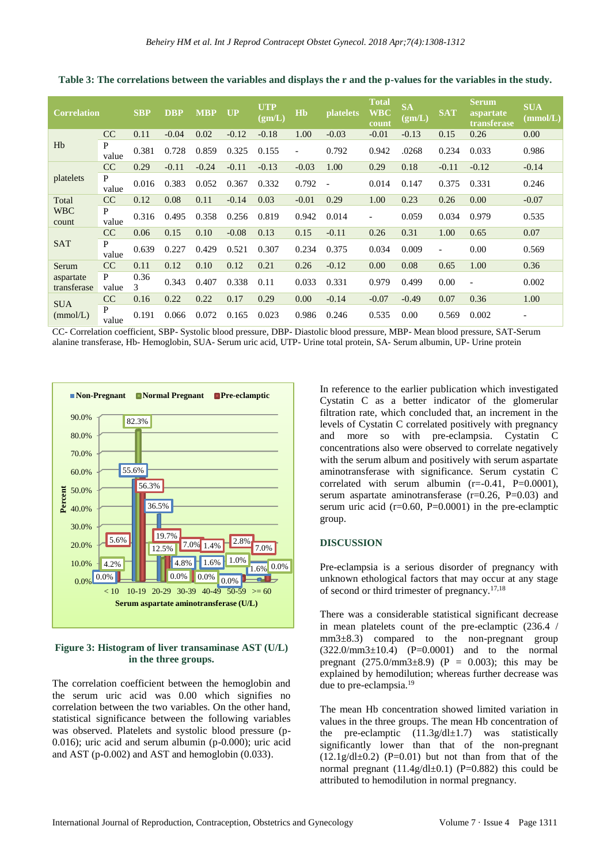| <b>Correlation</b>                |            | <b>SBP</b> | <b>DBP</b> | <b>MBP</b> | <b>UP</b> | <b>UTP</b><br>(gm/L) | H <sub>b</sub>           | <b>platelets</b> | <b>Total</b><br><b>WBC</b><br>count | <b>SA</b><br>(gm/L) | <b>SAT</b>               | <b>Serum</b><br>aspartate<br>transferase | <b>SUA</b><br>(mmol/L) |
|-----------------------------------|------------|------------|------------|------------|-----------|----------------------|--------------------------|------------------|-------------------------------------|---------------------|--------------------------|------------------------------------------|------------------------|
| H <sub>b</sub>                    | CC         | 0.11       | $-0.04$    | 0.02       | $-0.12$   | $-0.18$              | 1.00                     | $-0.03$          | $-0.01$                             | $-0.13$             | 0.15                     | 0.26                                     | 0.00                   |
|                                   | P<br>value | 0.381      | 0.728      | 0.859      | 0.325     | 0.155                | $\overline{\phantom{a}}$ | 0.792            | 0.942                               | .0268               | 0.234                    | 0.033                                    | 0.986                  |
| platelets                         | CC         | 0.29       | $-0.11$    | $-0.24$    | $-0.11$   | $-0.13$              | $-0.03$                  | 1.00             | 0.29                                | 0.18                | $-0.11$                  | $-0.12$                                  | $-0.14$                |
|                                   | P<br>value | 0.016      | 0.383      | 0.052      | 0.367     | 0.332                | 0.792                    | $\blacksquare$   | 0.014                               | 0.147               | 0.375                    | 0.331                                    | 0.246                  |
| Total<br><b>WBC</b><br>count      | CC         | 0.12       | 0.08       | 0.11       | $-0.14$   | 0.03                 | $-0.01$                  | 0.29             | 1.00                                | 0.23                | 0.26                     | 0.00                                     | $-0.07$                |
|                                   | P<br>value | 0.316      | 0.495      | 0.358      | 0.256     | 0.819                | 0.942                    | 0.014            |                                     | 0.059               | 0.034                    | 0.979                                    | 0.535                  |
| <b>SAT</b>                        | CC         | 0.06       | 0.15       | 0.10       | $-0.08$   | 0.13                 | 0.15                     | $-0.11$          | 0.26                                | 0.31                | 1.00                     | 0.65                                     | 0.07                   |
|                                   | P<br>value | 0.639      | 0.227      | 0.429      | 0.521     | 0.307                | 0.234                    | 0.375            | 0.034                               | 0.009               | $\overline{\phantom{a}}$ | 0.00                                     | 0.569                  |
| Serum<br>aspartate<br>transferase | CC         | 0.11       | 0.12       | 0.10       | 0.12      | 0.21                 | 0.26                     | $-0.12$          | 0.00                                | 0.08                | 0.65                     | 1.00                                     | 0.36                   |
|                                   | P<br>value | 0.36<br>3  | 0.343      | 0.407      | 0.338     | 0.11                 | 0.033                    | 0.331            | 0.979                               | 0.499               | 0.00                     | $\overline{\phantom{a}}$                 | 0.002                  |
| <b>SUA</b><br>(mmol/L)            | CC         | 0.16       | 0.22       | 0.22       | 0.17      | 0.29                 | 0.00                     | $-0.14$          | $-0.07$                             | $-0.49$             | 0.07                     | 0.36                                     | 1.00                   |
|                                   | P<br>value | 0.191      | 0.066      | 0.072      | 0.165     | 0.023                | 0.986                    | 0.246            | 0.535                               | 0.00                | 0.569                    | 0.002                                    |                        |

**Table 3: The correlations between the variables and displays the r and the p-values for the variables in the study.**

CC- Correlation coefficient, SBP- Systolic blood pressure, DBP- Diastolic blood pressure, MBP- Mean blood pressure, SAT-Serum alanine transferase, Hb- Hemoglobin, SUA- Serum uric acid, UTP- Urine total protein, SA- Serum albumin, UP- Urine protein



## **Figure 3: Histogram of liver transaminase AST (U/L) in the three groups.**

The correlation coefficient between the hemoglobin and the serum uric acid was 0.00 which signifies no correlation between the two variables. On the other hand, statistical significance between the following variables was observed. Platelets and systolic blood pressure (p-0.016); uric acid and serum albumin (p-0.000); uric acid and AST (p-0.002) and AST and hemoglobin (0.033).

In reference to the earlier publication which investigated Cystatin C as a better indicator of the glomerular filtration rate, which concluded that, an increment in the levels of Cystatin C correlated positively with pregnancy and more so with pre-eclampsia. Cystatin C concentrations also were observed to correlate negatively with the serum album and positively with serum aspartate aminotransferase with significance. Serum cystatin C correlated with serum albumin  $(r=-0.41, P=0.0001)$ , serum aspartate aminotransferase  $(r=0.26, P=0.03)$  and serum uric acid  $(r=0.60, P=0.0001)$  in the pre-eclamptic group.

#### **DISCUSSION**

Pre-eclampsia is a serious disorder of pregnancy with unknown ethological factors that may occur at any stage of second or third trimester of pregnancy.17,18

There was a considerable statistical significant decrease in mean platelets count of the pre-eclamptic (236.4 / mm3±8.3) compared to the non-pregnant group  $(322.0/\text{mm}3\pm10.4)$   $(P=0.0001)$  and to the normal pregnant  $(275.0/\text{mm}3\pm8.9)$  (P = 0.003); this may be explained by hemodilution; whereas further decrease was due to pre-eclampsia.<sup>19</sup>

The mean Hb concentration showed limited variation in values in the three groups. The mean Hb concentration of the pre-eclamptic  $(11.3g/dl \pm 1.7)$  was statistically significantly lower than that of the non-pregnant  $(12.1g/dl\pm0.2)$  (P=0.01) but not than from that of the normal pregnant  $(11.4g/dl\pm0.1)$  (P=0.882) this could be attributed to hemodilution in normal pregnancy.